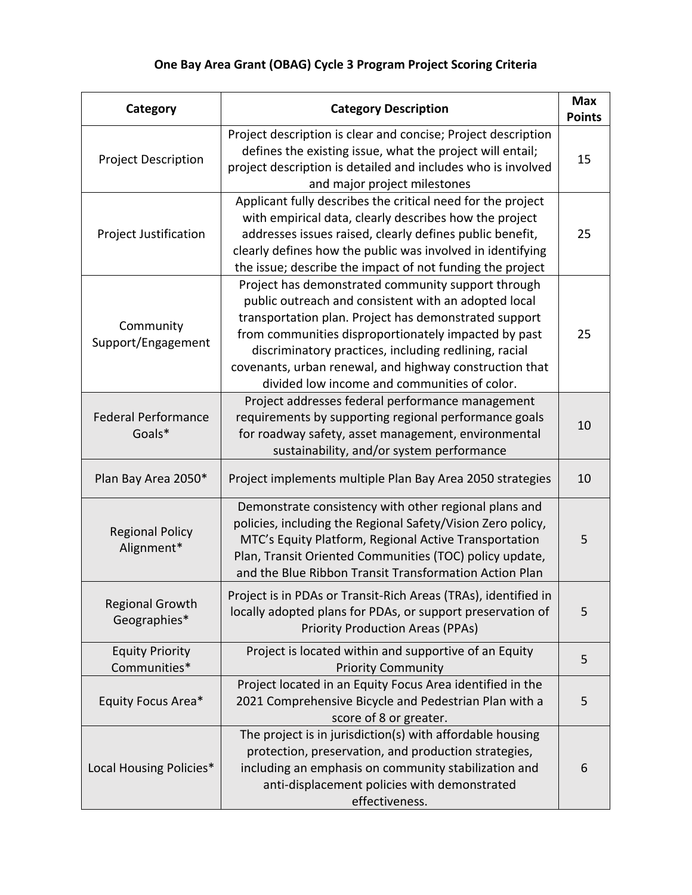## **One Bay Area Grant (OBAG) Cycle 3 Program Project Scoring Criteria**

| Category                               | <b>Category Description</b>                                                                                                                                                                                                                                                                                                                                                                     | <b>Max</b><br><b>Points</b> |
|----------------------------------------|-------------------------------------------------------------------------------------------------------------------------------------------------------------------------------------------------------------------------------------------------------------------------------------------------------------------------------------------------------------------------------------------------|-----------------------------|
| <b>Project Description</b>             | Project description is clear and concise; Project description<br>defines the existing issue, what the project will entail;<br>project description is detailed and includes who is involved<br>and major project milestones                                                                                                                                                                      | 15                          |
| <b>Project Justification</b>           | Applicant fully describes the critical need for the project<br>with empirical data, clearly describes how the project<br>addresses issues raised, clearly defines public benefit,<br>clearly defines how the public was involved in identifying<br>the issue; describe the impact of not funding the project                                                                                    | 25                          |
| Community<br>Support/Engagement        | Project has demonstrated community support through<br>public outreach and consistent with an adopted local<br>transportation plan. Project has demonstrated support<br>from communities disproportionately impacted by past<br>discriminatory practices, including redlining, racial<br>covenants, urban renewal, and highway construction that<br>divided low income and communities of color. | 25                          |
| <b>Federal Performance</b><br>Goals*   | Project addresses federal performance management<br>requirements by supporting regional performance goals<br>for roadway safety, asset management, environmental<br>sustainability, and/or system performance                                                                                                                                                                                   | 10                          |
| Plan Bay Area 2050*                    | Project implements multiple Plan Bay Area 2050 strategies                                                                                                                                                                                                                                                                                                                                       | 10                          |
| <b>Regional Policy</b><br>Alignment*   | Demonstrate consistency with other regional plans and<br>policies, including the Regional Safety/Vision Zero policy,<br>MTC's Equity Platform, Regional Active Transportation<br>Plan, Transit Oriented Communities (TOC) policy update,<br>and the Blue Ribbon Transit Transformation Action Plan                                                                                              | 5                           |
| <b>Regional Growth</b><br>Geographies* | Project is in PDAs or Transit-Rich Areas (TRAs), identified in<br>locally adopted plans for PDAs, or support preservation of<br><b>Priority Production Areas (PPAs)</b>                                                                                                                                                                                                                         | 5                           |
| <b>Equity Priority</b><br>Communities* | Project is located within and supportive of an Equity<br><b>Priority Community</b>                                                                                                                                                                                                                                                                                                              | 5                           |
| Equity Focus Area*                     | Project located in an Equity Focus Area identified in the<br>2021 Comprehensive Bicycle and Pedestrian Plan with a<br>score of 8 or greater.                                                                                                                                                                                                                                                    | 5                           |
| Local Housing Policies*                | The project is in jurisdiction(s) with affordable housing<br>protection, preservation, and production strategies,<br>including an emphasis on community stabilization and<br>anti-displacement policies with demonstrated<br>effectiveness.                                                                                                                                                     | 6                           |